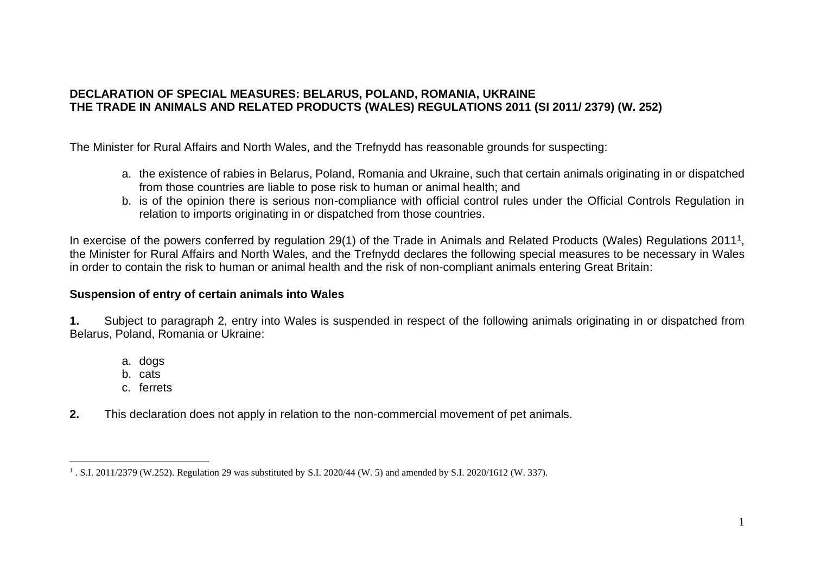## **DECLARATION OF SPECIAL MEASURES: BELARUS, POLAND, ROMANIA, UKRAINE THE TRADE IN ANIMALS AND RELATED PRODUCTS (WALES) REGULATIONS 2011 (SI 2011/ 2379) (W. 252)**

The Minister for Rural Affairs and North Wales, and the Trefnydd has reasonable grounds for suspecting:

- a. the existence of rabies in Belarus, Poland, Romania and Ukraine, such that certain animals originating in or dispatched from those countries are liable to pose risk to human or animal health; and
- b. is of the opinion there is serious non-compliance with official control rules under the Official Controls Regulation in relation to imports originating in or dispatched from those countries.

In exercise of the powers conferred by regulation 29(1) of the Trade in Animals and Related Products (Wales) Regulations 2011<sup>1</sup>, the Minister for Rural Affairs and North Wales, and the Trefnydd declares the following special measures to be necessary in Wales in order to contain the risk to human or animal health and the risk of non-compliant animals entering Great Britain:

## **Suspension of entry of certain animals into Wales**

**1.** Subject to paragraph 2, entry into Wales is suspended in respect of the following animals originating in or dispatched from Belarus, Poland, Romania or Ukraine:

- a. dogs
- b. cats
- c. ferrets
- **2.** This declaration does not apply in relation to the non-commercial movement of pet animals.

<sup>1</sup> . S.I. 2011/2379 (W.252). Regulation 29 was substituted by S.I. 2020/44 (W. 5) and amended by S.I. 2020/1612 (W. 337).